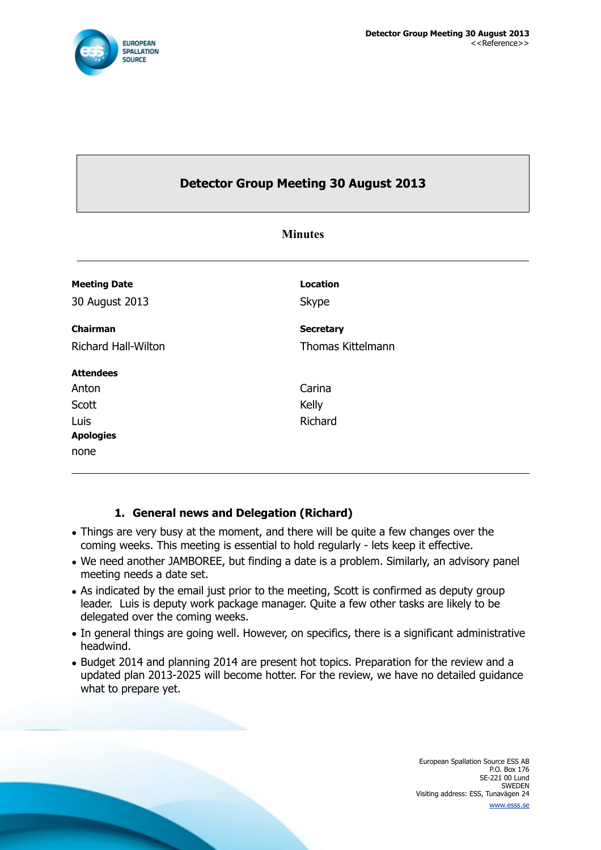

# **Detector Group Meeting 30 August 2013**

| <b>Minutes</b>             |                          |  |
|----------------------------|--------------------------|--|
| <b>Meeting Date</b>        | <b>Location</b>          |  |
| 30 August 2013             | Skype                    |  |
| Chairman                   | <b>Secretary</b>         |  |
| <b>Richard Hall-Wilton</b> | <b>Thomas Kittelmann</b> |  |
| <b>Attendees</b>           |                          |  |
| Anton                      | Carina                   |  |
| Scott                      | Kelly                    |  |
| Luis                       | Richard                  |  |
| <b>Apologies</b>           |                          |  |
| none                       |                          |  |

### **1. General news and Delegation (Richard)**

- Things are very busy at the moment, and there will be quite a few changes over the coming weeks. This meeting is essential to hold regularly - lets keep it effective.
- We need another JAMBOREE, but finding a date is a problem. Similarly, an advisory panel meeting needs a date set.
- As indicated by the email just prior to the meeting, Scott is confirmed as deputy group leader. Luis is deputy work package manager. Quite a few other tasks are likely to be delegated over the coming weeks.
- In general things are going well. However, on specifics, there is a significant administrative headwind.
- Budget 2014 and planning 2014 are present hot topics. Preparation for the review and a updated plan 2013-2025 will become hotter. For the review, we have no detailed guidance what to prepare yet.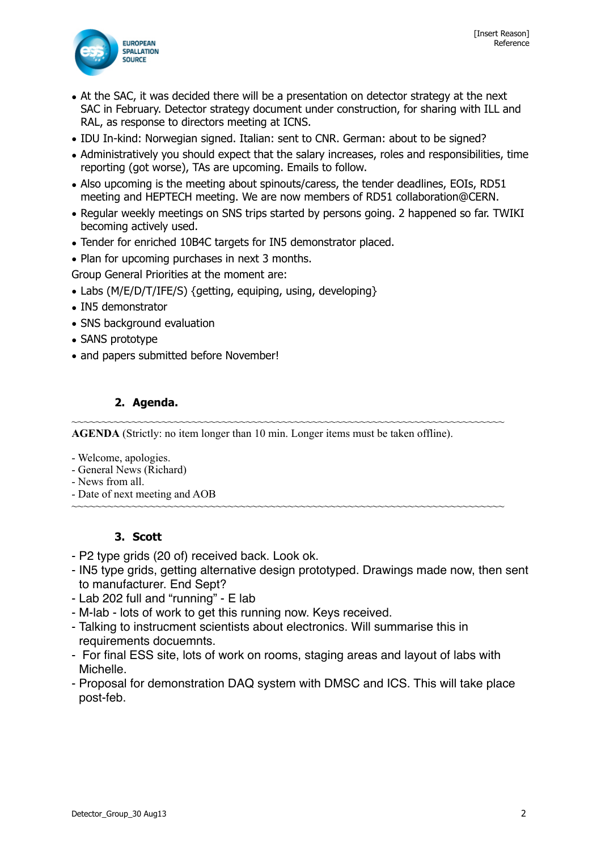

- At the SAC, it was decided there will be a presentation on detector strategy at the next SAC in February. Detector strategy document under construction, for sharing with ILL and RAL, as response to directors meeting at ICNS.
- IDU In-kind: Norwegian signed. Italian: sent to CNR. German: about to be signed?
- Administratively you should expect that the salary increases, roles and responsibilities, time reporting (got worse), TAs are upcoming. Emails to follow.
- Also upcoming is the meeting about spinouts/caress, the tender deadlines, EOIs, RD51 meeting and HEPTECH meeting. We are now members of RD51 collaboration@CERN.
- Regular weekly meetings on SNS trips started by persons going. 2 happened so far. TWIKI becoming actively used.
- Tender for enriched 10B4C targets for IN5 demonstrator placed.
- Plan for upcoming purchases in next 3 months.

Group General Priorities at the moment are:

- Labs (M/E/D/T/IFE/S) {getting, equiping, using, developing}
- IN5 demonstrator
- SNS background evaluation
- SANS prototype
- and papers submitted before November!

#### **2. Agenda.**

~~~~~~~~~~~~~~~~~~~~~~~~~~~~~~~~~~~~~~~~~~~~~~~~~~~~~~~~~~~~~~~~~~~~~~~~ **AGENDA** (Strictly: no item longer than 10 min. Longer items must be taken offline).

- Welcome, apologies.
- General News (Richard)
- News from all.
- Date of next meeting and AOB ~~~~~~~~~~~~~~~~~~~~~~~~~~~~~~~~~~~~~~~~~~~~~~~~~~~~~~~~~~~~~~~~~~~~~~~~

#### **3. Scott**

- P2 type grids (20 of) received back. Look ok.
- IN5 type grids, getting alternative design prototyped. Drawings made now, then sent to manufacturer. End Sept?
- Lab 202 full and "running" E lab
- M-lab lots of work to get this running now. Keys received.
- Talking to instrucment scientists about electronics. Will summarise this in requirements docuemnts.
- For final ESS site, lots of work on rooms, staging areas and layout of labs with Michelle.
- Proposal for demonstration DAQ system with DMSC and ICS. This will take place post-feb.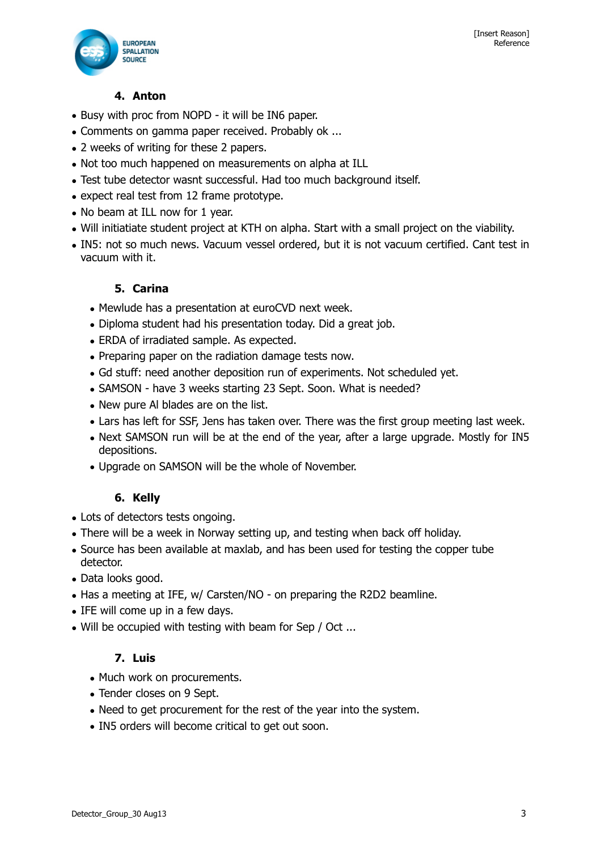

## **4. Anton**

- Busy with proc from NOPD it will be IN6 paper.
- Comments on gamma paper received. Probably ok ...
- 2 weeks of writing for these 2 papers.
- Not too much happened on measurements on alpha at ILL
- Test tube detector wasnt successful. Had too much background itself.
- expect real test from 12 frame prototype.
- No beam at ILL now for 1 year.
- Will initiatiate student project at KTH on alpha. Start with a small project on the viability.
- IN5: not so much news. Vacuum vessel ordered, but it is not vacuum certified. Cant test in vacuum with it.

### **5. Carina**

- Mewlude has a presentation at euroCVD next week.
- Diploma student had his presentation today. Did a great job.
- ERDA of irradiated sample. As expected.
- Preparing paper on the radiation damage tests now.
- Gd stuff: need another deposition run of experiments. Not scheduled yet.
- SAMSON have 3 weeks starting 23 Sept. Soon. What is needed?
- New pure Al blades are on the list.
- Lars has left for SSF, Jens has taken over. There was the first group meeting last week.
- Next SAMSON run will be at the end of the year, after a large upgrade. Mostly for IN5 depositions.
- Upgrade on SAMSON will be the whole of November.

### **6. Kelly**

- Lots of detectors tests ongoing.
- There will be a week in Norway setting up, and testing when back off holiday.
- Source has been available at maxlab, and has been used for testing the copper tube detector.
- Data looks good.
- Has a meeting at IFE, w/ Carsten/NO on preparing the R2D2 beamline.
- IFE will come up in a few days.
- Will be occupied with testing with beam for Sep / Oct ...

### **7. Luis**

- Much work on procurements.
- Tender closes on 9 Sept.
- Need to get procurement for the rest of the year into the system.
- IN5 orders will become critical to get out soon.